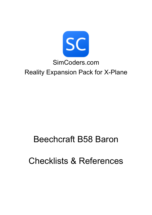

# Beechcraft B58 Baron

Checklists & References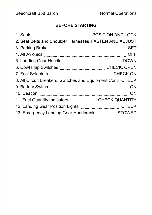## **BEFORE STARTING**

| 1. Seats                                                    | POSITION AND LOCK     |
|-------------------------------------------------------------|-----------------------|
| 2. Seat Belts and Shoulder Harnesses FASTEN AND ADJUST      |                       |
| 3. Parking Brake                                            | <b>SET</b>            |
| 4. All Avionics                                             | <b>OFF</b>            |
| 5. Landing Gear Handle                                      | <b>DOWN</b>           |
|                                                             | <b>CHECK, OPEN</b>    |
| 7. Fuel Selectors                                           | <b>CHECK ON</b>       |
| 8. All Circuit Breakers, Switches and Equipment Contr CHECK |                       |
| 9. Battery Switch                                           | ΟN                    |
| 10. Beacon                                                  | ΟN                    |
| 11. Fuel Quantity Indicators                                | <b>CHECK QUANTITY</b> |
| 12. Landing Gear Position Lights                            | <b>CHECK</b>          |
| 13. Emergency Landing Gear Handcrank                        | <b>STOWED</b>         |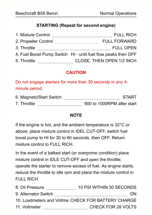#### **STARTING (Repeat for second engine)**

| 1. Mixture Control   | <b>FULL RICH</b>                                              |
|----------------------|---------------------------------------------------------------|
| 2. Propeller Control | <b>FULL FORWARD</b>                                           |
| 3. Throttle          | <b>FULL OPEN</b>                                              |
|                      | 4. Fuel Boost Pump Switch HI - until fuel flow peaks then OFF |
| 5. Throttle          | CLOSE, THEN OPEN 1/2 INCH                                     |

## **CAUTION**

Do not engage starters for more than 30 seconds in any 4 minute period.

|             | 6. Magneto/Start Switch | START                      |
|-------------|-------------------------|----------------------------|
| 7. Throttle |                         | 900 to 1000RPM after start |

#### **NOTE**

If the engine is hot, and the ambient temperature is 32°C or above, place mixture control in IDEL CUT-OFF, switch fuel boost pump to HI for 30 to 60 seconds, then OFF. Return mixture control to FULL RICH

In the event of a balked start (or overprime condition) place mixture control in IDLE CUT-OFF and open the throttle; operate the starter to remove excess of fuel. As engine starts, reduce the throttle to idle rpm and place the mixture control in FULL RICH.

| 8. Oil Pressure                                    | 10 PSI WITHIN 30 SECONDS |
|----------------------------------------------------|--------------------------|
| 9. Alternator Switch                               | ON                       |
| 10. Loadmeters and Voltme CHECK FOR BATTERY CHARGE |                          |
| 11. Voltmeter                                      | CHECK FOR 28 VOLTS       |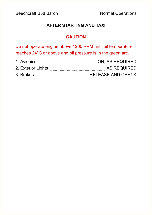#### **AFTER STARTING AND TAXI**

## **CAUTION**

Do not operate engine above 1200 RPM until oil temperature reaches 24°C or above and oil pressure is in the green arc.

| 1. Avionics        | ON, AS REQUIRED   |
|--------------------|-------------------|
| 2. Exterior Lights | AS REQUIRED       |
| 3. Brakes          | RELEASE AND CHECK |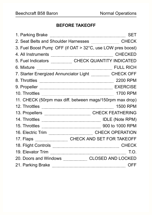# **BEFORE TAKEOFF**

| 1. Parking Brake <b>with the Construction of the Constant of SET</b>                                                                                                                                                                 |
|--------------------------------------------------------------------------------------------------------------------------------------------------------------------------------------------------------------------------------------|
|                                                                                                                                                                                                                                      |
| 3. Fuel Boost Pump OFF (if OAT > 32°C, use LOW pres boost)                                                                                                                                                                           |
| 4. All Instruments <b>Election</b> CHECKED                                                                                                                                                                                           |
| 5. Fuel Indicators <b>Election</b> CHECK QUANTITY INDICATED                                                                                                                                                                          |
| 6. Mixture <b>Exercise Constructs and Service Constant Constant Constant Constant Constant Constant Constant Constant Constant Constant Constant Constant Constant Constant Constant Constant Constant Constant Constant Constan</b> |
| 7. Starter Energized Annunciator Light CHECK OFF                                                                                                                                                                                     |
|                                                                                                                                                                                                                                      |
|                                                                                                                                                                                                                                      |
|                                                                                                                                                                                                                                      |
| 11. CHECK (50rpm max diff. between mags/150rpm max drop)                                                                                                                                                                             |
|                                                                                                                                                                                                                                      |
| 13. Propellers <b>Election</b> CHECK FEATHERING                                                                                                                                                                                      |
| 14. Throttles <b>Election</b> IDLE (Note RPM)                                                                                                                                                                                        |
| 15. Throttles <b>Election</b> 200 to 1000 RPM                                                                                                                                                                                        |
| 16. Electric Trim                                                                                                                                                                                                                    |
| 17. Flaps ___________________________CHECK AND SET FOR TAKEOFF                                                                                                                                                                       |
| 18. Flight Controls <b>Election</b> CHECK                                                                                                                                                                                            |
| 19. Elevator Trim                                                                                                                                                                                                                    |
| 20. Doors and Windows CLOSED AND LOCKED                                                                                                                                                                                              |
| 21. Parking Brake <b>with the Contract of the Contract of Strake</b> OFF                                                                                                                                                             |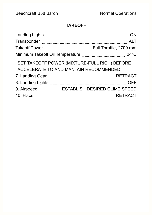# **TAKEOFF**

| <b>Landing Lights</b>           |                                              |
|---------------------------------|----------------------------------------------|
| Transponder                     | AI T                                         |
| <b>Takeoff Power</b>            | Full Throttle, 2700 rpm                      |
| Minimum Takeoff Oil Temperature | $24^{\circ}$ C                               |
|                                 | SET TAKEOFF POWER (MIXTURE-FULL RICH) BEFORE |
|                                 | ACCELERATE TO AND MANTAIN RECOMMENDED        |
| 7. Landing Gear                 | <b>RETRACT</b>                               |
| 8. Landing Lights               | OFF                                          |
| 9. Airspeed                     | <b>ESTABLISH DESIRED CLIMB SPEED</b>         |
| 10. Flaps                       | <b>RETRACT</b>                               |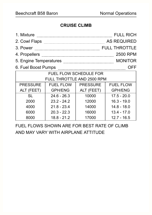## **CRUISE CLIMB**

| 1. Mixture                 |                                                            |                 | <b>FULL RICH</b>     |  |
|----------------------------|------------------------------------------------------------|-----------------|----------------------|--|
| 2. Cowl Flaps              | <b>AS REQUIRED</b>                                         |                 |                      |  |
| 3. Power                   |                                                            |                 | <b>FULL THROTTLE</b> |  |
| 4. Propellers              |                                                            |                 | 2500 RPM             |  |
|                            | 5. Engine Temperatures <b>Manual Engineer Section</b> 2014 |                 | <b>MONITOR</b>       |  |
| 6. Fuel Boost Pumps        |                                                            |                 | OFF                  |  |
|                            | FUEL FLOW SCHEDULE FOR                                     |                 |                      |  |
| FULL THROTTLE AND 2500 RPM |                                                            |                 |                      |  |
| <b>PRESSURE</b>            | <b>FUEL FLOW</b>                                           | <b>PRESSURE</b> | <b>FUEL FLOW</b>     |  |
| ALT (FEET)                 | <b>GPH/ENG</b>                                             | ALT (FEET)      | <b>GPH/ENG</b>       |  |
| <b>SL</b>                  | $24.6 - 26.3$                                              | 10000           | $17.5 - 20.0$        |  |
| 2000                       | $23.2 - 24.2$                                              | 12000           | $16.3 - 19.0$        |  |
| 4000                       | $21.8 - 23.4$                                              | 14000           | $14.8 - 18.0$        |  |
| 6000                       | $20.3 - 22.3$                                              | 16000           | $13.4 - 17.0$        |  |
| 8000                       | $18.8 - 21.2$                                              | 17000           | $12.7 - 16.5$        |  |

FUEL FLOWS SHOWN ARE FOR BEST RATE OF CLIMB AND MAY VARY WITH AIRPLANE ATTITUDE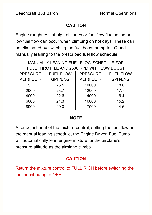### **CAUTION**

Engine roughness at high altitudes or fuel flow fluctuation or low fuel flow can occur when climbing on hot days. These can be eliminated by switching the fuel boost pump to LO and manually leaning to the prescribed fuel flow schedule.

| MANUALLY LEANING FUEL FLOW SCHEDULE FOR                                    |                                                |       |      |  |
|----------------------------------------------------------------------------|------------------------------------------------|-------|------|--|
|                                                                            | FULL THROTTLE AND 2500 RPM WITH LOW BOOST      |       |      |  |
| <b>PRESSURE</b><br><b>PRESSURE</b><br><b>FUEL FLOW</b><br><b>FUEL FLOW</b> |                                                |       |      |  |
| ALT (FEET)                                                                 | <b>GPH/ENG</b><br><b>GPH/ENG</b><br>ALT (FEET) |       |      |  |
| <b>SL</b>                                                                  | 25.5                                           | 10000 | 18.8 |  |
| 2000                                                                       | 23.7                                           | 12000 | 17.7 |  |
| 4000                                                                       | 22.6                                           | 14000 | 16.4 |  |
| 6000                                                                       | 21.3                                           | 16000 | 15.2 |  |
| 8000                                                                       | 20.0                                           | 17000 | 14.6 |  |

#### **NOTE**

After adjustment of the mixture control, setting the fuel flow per the manual leaning schedule, the Engine Driven Fuel Pump will automatically lean engine mixture for the airplane's pressure altitude as the airplane climbs.

# **CAUTION**

Return the mixture control to FULL RICH before switching the fuel boost pump to OFF.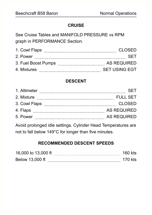#### **CRUISE**

See Cruise Tables and MANIFOLD PRESSURE vs RPM graph in PERFORMANCE Section.

| 1. Cowl Flaps       | CLOSED.              |
|---------------------|----------------------|
| 2. Power            | SFI                  |
| 3. Fuel Boost Pumps | AS REQUIRED          |
| 4. Mixtures         | <b>SET USING EGT</b> |

# **DESCENT**

| 1. Altimeter  |                    |
|---------------|--------------------|
| 2. Mixture    | FULL SET           |
| 3. Cowl Flaps | <b>CLOSED</b>      |
| 4. Flaps      | <b>AS REQUIRED</b> |
| 5. Power      | <b>AS REQUIRED</b> |

Avoid prolonged idle settings. Cylinder Head Temperatures are not to fall below 149°C for longer than five minutes.

# **RECOMMENDED DESCENT SPEEDS**

| 16,000 to 13,000 ft | 160 kts |  |
|---------------------|---------|--|
| Below 13,000 ft     | 170 kts |  |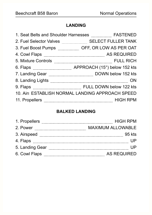## **LANDING**

|                                                         | 1. Seat Belts and Shoulder Harnesses FASTENED                       |
|---------------------------------------------------------|---------------------------------------------------------------------|
| 2. Fuel Selector Valves <b>Election</b> Selector Malves | <b>SELECT FULLER TANK</b>                                           |
|                                                         | 3. Fuel Boost Pumps _____________ OFF, OR LOW AS PER OAT            |
|                                                         | 4. Cowl Flaps <b>Example 2018</b> AS REQUIRED                       |
| 5. Mixture Controls                                     |                                                                     |
|                                                         | APPROACH (15°) below 152 kts                                        |
|                                                         | 7. Landing Gear <b>Manual Strategy Community</b> DOWN below 152 kts |
| 8. Landing Lights                                       | ON                                                                  |
| 9. Flaps                                                |                                                                     |
|                                                         | 10. Airs ESTABLISH NORMAL LANDING APPROACH SPEED                    |
| 11. Propellers                                          | <b>HIGH RPM</b>                                                     |

## **BALKED LANDING**

| 1. Propellers   | <b>HIGH RPM</b>          |
|-----------------|--------------------------|
| 2. Power        | <b>MAXIMUM ALLOWABLE</b> |
| 3. Airspeed     | 95 kts                   |
| 4. Flaps        |                          |
| 5. Landing Gear |                          |
| 6. Cowl Flaps   | <b>AS REQUIRED</b>       |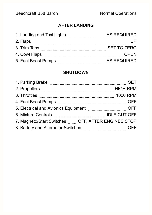# **AFTER LANDING**

| <b>AS REQUIRED</b> |
|--------------------|
|                    |
| <b>SET TO ZERO</b> |
| OPEN               |
| <b>AS REQUIRED</b> |
|                    |

#### **SHUTDOWN**

| 1. Parking Brake                                  |                     |
|---------------------------------------------------|---------------------|
| 2. Propellers                                     | <b>HIGH RPM</b>     |
| 3. Throttles                                      | <b>1000 RPM</b>     |
| 4. Fuel Boost Pumps                               | OFF                 |
| 5. Electrical and Avionics Equipment              | OFF                 |
| 6. Mixture Controls                               | <b>IDLE CUT-OFF</b> |
| 7. Magneto/Start Switches OFF, AFTER ENGINES STOP |                     |
| 8. Battery and Alternator Switches                |                     |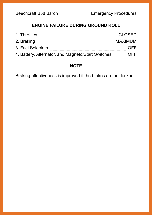# **ENGINE FAILURE DURING GROUND ROLL**

| 1. Throttles                                       | CLOSED             |
|----------------------------------------------------|--------------------|
| 2. Braking                                         | <b>MAXIMUM</b>     |
| 3. Fuel Selectors                                  | $() \vdash \vdash$ |
| 4. Battery, Alternator, and Magneto/Start Switches | OFF.               |

#### **NOTE**

Braking effectiveness is improved if the brakes are not locked.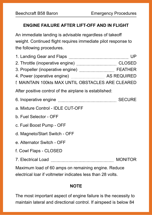#### **ENGINE FAILURE AFTER LIFT-OFF AND IN FLIGHT**

An immediate landing is advisable regardless of takeoff weight. Continued flight requires immediate pilot response to the following procedures.

| 1. Landing Gear and Flaps <b>[200]</b> [20] [20] [20] UP                                                                 |  |
|--------------------------------------------------------------------------------------------------------------------------|--|
| 2. Throttle (inoperative engine) <b>Manual Economist CLOSED</b>                                                          |  |
| 3. Propeller (inoperative engine) <b>Manual According the FEATHER</b>                                                    |  |
| 4. Power (operative engine) <b>Manual Enginement AS REQUIRED</b>                                                         |  |
| <b>E MAINTAIN 100kts MAX UNTIL OBSTACLES ARE CLEARED</b>                                                                 |  |
| After positive control of the airplane is established:                                                                   |  |
| 6. Inoperative engine <b>Election</b> SECURE                                                                             |  |
| a. Mixture Control - IDLE CUT-OFF                                                                                        |  |
| b. Fuel Selector - OFF                                                                                                   |  |
| c. Fuel Boost Pump - OFF                                                                                                 |  |
| d. Magneto/Start Switch - OFF                                                                                            |  |
| e. Alternator Switch - OFF                                                                                               |  |
| f. Cowl Flaps - CLOSED                                                                                                   |  |
| 7. Electrical Load <b>Electrical</b> Analysis and Telectrical Analysis and Telectrical Analysis and Telectrical Analysis |  |
| Maximum load of 60 amps on remaining engine. Reduce                                                                      |  |

electrical loar if voltmeter indicates less than 28 volts.

#### **NOTE**

The most important aspect of engine failure is the necessity to maintain lateral and directional control. If airspeed is below 84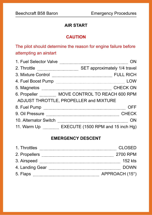## **AIR START**

#### **CAUTION**

# The pilot should determine the reason for engine failure before attempting an airstart

| 1. Fuel Selector Valve |                                                                                                                                                                                                                                          |
|------------------------|------------------------------------------------------------------------------------------------------------------------------------------------------------------------------------------------------------------------------------------|
|                        | SET approximately 1/4 travel                                                                                                                                                                                                             |
|                        | 3. Mixture Control <b>Election</b> Control <b>Election</b> Control Control Control Control Control Control Control Control Control Control Control Control Control Control Control Control Control Control Control Control Control Contr |
| 4. Fuel Boost Pump     | LOW                                                                                                                                                                                                                                      |
| 5. Magnetos            | <b>CHECK ON</b>                                                                                                                                                                                                                          |
|                        | 6. Propeller MOVE CONTROL TO REACH 600 RPM                                                                                                                                                                                               |
|                        | ADJUST THROTTLE, PROPELLER and MIXTURE                                                                                                                                                                                                   |
|                        | OFF                                                                                                                                                                                                                                      |
| 9. Oil Pressure        | <b>CHECK</b>                                                                                                                                                                                                                             |
| 10. Alternator Switch  | ON                                                                                                                                                                                                                                       |
|                        | 11. Warm Up <b>EXECUTE</b> (1500 RPM and 15 inch Hg)                                                                                                                                                                                     |

## **EMERGENCY DESCENT**

| 1. Throttles    | CLOSED         |
|-----------------|----------------|
| 2. Propellers   | 2700 RPM       |
| 3. Airspeed     | 152 kts        |
| 4. Landing Gear | <b>DOWN</b>    |
| 5. Flaps        | APPROACH (15°) |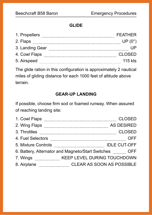#### **GLIDE**

| 1. Propellers   | <b>FFATHER</b>  |
|-----------------|-----------------|
| 2. Flaps        | $UP(0^{\circ})$ |
| 3. Landing Gear |                 |
| 4. Cowl Flaps   | <b>CLOSED</b>   |
| 5. Airspeed     | 115 kts         |

The glide ration in this configuration is approximately 2 nautical miles of gliding distance for each 1000 feet of altitude above terrain.

#### **GEAR-UP LANDING**

If possible, choose firm sod or foamed runway. When assured of reaching landing site:

| 1. Cowl Flaps       | <b>CLOSED</b>                                     |     |
|---------------------|---------------------------------------------------|-----|
| 2. Wing Flaps       | <b>AS DESIRED</b>                                 |     |
| 3. Throttles        | <b>CLOSED</b>                                     |     |
| 4. Fuel Selectors   |                                                   | OFF |
| 5. Mixture Controls | <b>IDLE CUT-OFF</b>                               |     |
|                     | 6. Battery, Alternator and Magneto/Start Switches | OFF |
| 7. Wings            | <b>KEEP LEVEL DURING TOUCHDOWN</b>                |     |
| 8. Airplane         | <b>CLEAR AS SOON AS POSSIBLE</b>                  |     |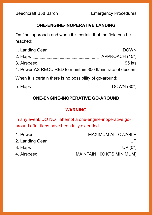#### **ONE-ENGINE-INOPERATIVE LANDING**

On final approach and when it is certain that the field can be reached:

| 1. Landing Gear                                             | <b>DOWN</b>    |
|-------------------------------------------------------------|----------------|
| 2. Flaps                                                    | APPROACH (15°) |
| 3. Airspeed                                                 | 95 kts         |
| 4. Power AS REQUIRED to maintain 800 ft/min rate of descent |                |
| When it is certain there is no possibility of go-around:    |                |

5. Flaps DOWN (30°)

# **ONE-ENGINE-INOPERATIVE GO-AROUND**

## **WARNING**

In any event, DO NOT attempt a one-engine-inoperative goaround after flaps have been fully extended.

| 1. Power        | MAXIMUM ALLOWABLE         |
|-----------------|---------------------------|
| 2. Landing Gear |                           |
| 3. Flaps        | $UP(0^{\circ})$           |
| 4. Airspeed     | MAINTAIN 100 KTS MINIMUM) |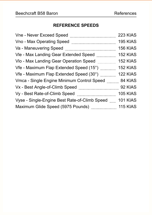## **REFERENCE SPEEDS**

| Vne - Never Exceed Speed                                                   | 223 KIAS        |
|----------------------------------------------------------------------------|-----------------|
| Vno - Max Operating Speed                                                  | <b>195 KIAS</b> |
| Va - Maneuvering Speed                                                     | <b>156 KIAS</b> |
| Vle - Max Landing Gear Extended Speed                                      | 152 KIAS        |
| Vlo - Max Landing Gear Operation Speed                                     | 152 KIAS        |
| Vfe - Maximum Flap Extended Speed (15°)                                    | 152 KIAS        |
| Vfe - Maximum Flap Extended Speed (30°)                                    | 122 KIAS        |
| Vmca - Single Engine Minimum Control Speed 84 KIAS                         |                 |
| Vx - Best Angle-of-Climb Speed                                             | 92 KIAS         |
| Vy - Best Rate-of-Climb Speed                                              | <b>105 KIAS</b> |
| Vyse - Single-Engine Best Rate-of-Climb Speed                              | <b>101 KIAS</b> |
| Maximum Glide Speed (5975 Pounds) <b>Maximum</b> Clide Speed (5975 Pounds) | <b>115 KIAS</b> |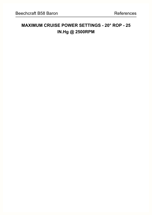# **MAXIMUM CRUISE POWER SETTINGS - 20° ROP - 25 IN.Hg @ 2500RPM**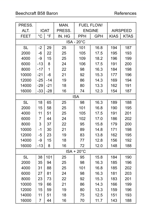| PRESS.            |                |             | MAN.   |                     | FUEL FLOW/    |                 |             |  |  |  |
|-------------------|----------------|-------------|--------|---------------------|---------------|-----------------|-------------|--|--|--|
| ALT.              |                | <b>IOAT</b> | PRESS. |                     | <b>ENGINE</b> | <b>AIRSPEED</b> |             |  |  |  |
| <b>FEET</b>       | $\overline{C}$ | $\circ$ F   | IN. HG | <b>PPH</b>          | <b>GPH</b>    | <b>KIAS</b>     | <b>KTAS</b> |  |  |  |
| <b>ISA - 20°C</b> |                |             |        |                     |               |                 |             |  |  |  |
| <b>SL</b>         | $-2$           | 29          | 25     | 101                 | 16.8          | 194             | 187         |  |  |  |
| 2000              | -6             | 22          | 25     | 105                 | 17.5          | 195             | 193         |  |  |  |
| 4000              | -9             | 15          | 25     | 109                 | 18.2          | 196             | 199         |  |  |  |
| 6000              | $-13$          | 8           | 24     | 106                 | 17.5          | 191             | 200         |  |  |  |
| 8000              | $-17$          | $\mathbf 1$ | 22     | 98                  | 16.3          | 184             | 198         |  |  |  |
| 10000             | $-21$          | $-6$        | 21     | 92                  | 15.3          | 177             | 196         |  |  |  |
| 12000             | $-25$          | $-14$       | 19     | 86                  | 14.3          | 169             | 194         |  |  |  |
| 14000             | $-29$          | $-21$       | 18     | 80                  | 13.3          | 162             | 191         |  |  |  |
| 16000             | $-33$          | $-28$       | 16     | 74                  | 12.3          | 154             | 187         |  |  |  |
|                   | <b>ISA</b>     |             |        |                     |               |                 |             |  |  |  |
| <b>SL</b>         | 18             | 65          | 25     | 98                  | 16.3          | 189             | 188         |  |  |  |
| 2000              | 15             | 58          | 25     | 101                 | 16.8          | 190             | 195         |  |  |  |
| 4000              | 11             | 51          | 25     | 105                 | 17.5          | 191             | 201         |  |  |  |
| 6000              | 7              | 44          | 24     | 102                 | 17.0          | 186             | 202         |  |  |  |
| 8000              | 3              | 37          | 22     | 95                  | 15.8          | 179             | 200         |  |  |  |
| 10000             | $-1$           | 30          | 21     | 89                  | 14.8          | 171             | 198         |  |  |  |
| 12000             | $-5$           | 23          | 19     | 83                  | 13.8          | 162             | 195         |  |  |  |
| 14000             | -9             | 15          | 18     | 77                  | 12.8          | 156             | 192         |  |  |  |
| 16000             | $-13$          | 8           | 16     | 72                  | 12.0          | 148             | 188         |  |  |  |
|                   |                |             |        | $ISA + 20^{\circ}C$ |               |                 |             |  |  |  |
| <b>SL</b>         | 38             | 101         | 25     | 95                  | 15.8          | 184             | 190         |  |  |  |
| 2000              | 35             | 94          | 25     | 98                  | 16.3          | 185             | 196         |  |  |  |
| 4000              | 31             | 88          | 25     | 101                 | 16.8          | 185             | 202         |  |  |  |
| 6000              | 27             | 81          | 24     | 98                  | 16.3          | 181             | 203         |  |  |  |
| 8000              | 23             | 73          | 22     | 92                  | 15.3          | 183             | 201         |  |  |  |
| 10000             | 19             | 66          | 21     | 86                  | 14.3          | 166             | 199         |  |  |  |
| 12000             | 15             | 59          | 19     | 80                  | 13.3          | 159             | 196         |  |  |  |
| 14000             | 11             | 51          | 18     | 75                  | 12.5          | 151             | 193         |  |  |  |
| 16000             | $\overline{7}$ | 44          | 16     | 70                  | 11.7          | 143             | 188         |  |  |  |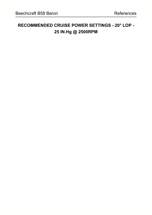# **RECOMMENDED CRUISE POWER SETTINGS - 20° LOP - 25 IN.Hg @ 2500RPM**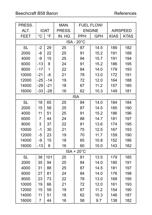| PRESS.            |                |              | MAN.   |                     | <b>FUEL FLOW/</b> |                 |             |  |  |  |
|-------------------|----------------|--------------|--------|---------------------|-------------------|-----------------|-------------|--|--|--|
| ALT.              |                | <b>IOAT</b>  | PRESS. |                     | <b>ENGINE</b>     | <b>AIRSPEED</b> |             |  |  |  |
| <b>FEET</b>       | $^{\circ}C$    | $\circ$ F    | IN. HG | <b>PPH</b>          | <b>GPH</b>        | <b>KIAS</b>     | <b>KTAS</b> |  |  |  |
| <b>ISA - 20°C</b> |                |              |        |                     |                   |                 |             |  |  |  |
| <b>SL</b>         | $-2$           | 29           | 25     | 87                  | 14.5              | 189             | 182         |  |  |  |
| 2000              | -6             | 22           | 25     | 91                  | 15.2              | 191             | 188         |  |  |  |
| 4000              | -9             | 15           | 25     | 94                  | 15.7              | 191             | 194         |  |  |  |
| 6000              | $-13$          | 8            | 24     | 91                  | 15.2              | 186             | 195         |  |  |  |
| 8000              | $-17$          | $\mathbf{1}$ | 22     | 84                  | 14.0              | 179             | 193         |  |  |  |
| 10000             | $-21$          | $-6$         | 21     | 78                  | 13.0              | 172             | 191         |  |  |  |
| 12000             | $-25$          | $-14$        | 19     | 72                  | 12.0              | 164             | 188         |  |  |  |
| 14000             | $-29$          | $-21$        | 18     | 67                  | 11.2              | 157             | 185         |  |  |  |
| 16000             | $-33$          | $-28$        | 16     | 62                  | 10.3              | 149             | 181         |  |  |  |
|                   | <b>ISA</b>     |              |        |                     |                   |                 |             |  |  |  |
| <b>SL</b>         | 18             | 65           | 25     | 84                  | 14.0              | 184             | 184         |  |  |  |
| 2000              | 15             | 58           | 25     | 87                  | 14.5              | 185             | 190         |  |  |  |
| 4000              | 11             | 51           | 25     | 91                  | 15.2              | 186             | 196         |  |  |  |
| 6000              | 7              | 44           | 24     | 88                  | 14.7              | 181             | 197         |  |  |  |
| 8000              | 3              | 37           | 22     | 81                  | 13.6              | 174             | 195         |  |  |  |
| 10000             | $-1$           | 30           | 21     | 75                  | 12.5              | 167             | 193         |  |  |  |
| 12000             | $-5$           | 23           | 19     | 70                  | 11.7              | 159             | 190         |  |  |  |
| 14000             | -9             | 15           | 18     | 65                  | 10.8              | 152             | 186         |  |  |  |
| 16000             | $-13$          | 8            | 16     | 60                  | 10.0              | 143             | 182         |  |  |  |
|                   |                |              |        | $ISA + 20^{\circ}C$ |                   |                 |             |  |  |  |
| <b>SL</b>         | 38             | 101          | 25     | 81                  | 13.5              | 179             | 185         |  |  |  |
| 2000              | 35             | 94           | 25     | 84                  | 14.0              | 180             | 191         |  |  |  |
| 4000              | 31             | 88           | 25     | 87                  | 14.5              | 181             | 197         |  |  |  |
| 6000              | 27             | 81           | 24     | 84                  | 14.0              | 176             | 198         |  |  |  |
| 8000              | 23             | 73           | 22     | 78                  | 13.0              | 169             | 195         |  |  |  |
| 10000             | 19             | 66           | 21     | 72                  | 12.0              | 161             | 193         |  |  |  |
| 12000             | 15             | 59           | 19     | 67                  | 11.2              | 154             | 190         |  |  |  |
| 14000             | 11             | 51           | 18     | 62                  | 10.3              | 146             | 187         |  |  |  |
| 16000             | $\overline{7}$ | 44           | 16     | 58                  | 9.7               | 138             | 182         |  |  |  |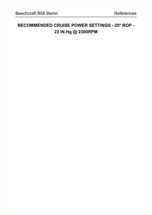# **RECOMMENDED CRUISE POWER SETTINGS - 20° ROP - 23 IN.Hg @ 2300RPM**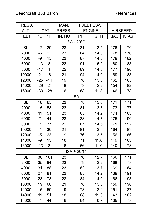# Beechcraft B58 Baron References

| PRESS.            |                |                | MAN.   |                     | <b>FUEL FLOW/</b> |                 |             |  |  |  |
|-------------------|----------------|----------------|--------|---------------------|-------------------|-----------------|-------------|--|--|--|
| ALT.              |                | <b>IOAT</b>    | PRESS. |                     | <b>ENGINE</b>     | <b>AIRSPEED</b> |             |  |  |  |
| <b>FEET</b>       | $^{\circ}C$    | $\overline{F}$ | IN. HG | PPH                 | <b>GPH</b>        | <b>KIAS</b>     | <b>KTAS</b> |  |  |  |
| <b>ISA - 20°C</b> |                |                |        |                     |                   |                 |             |  |  |  |
| <b>SL</b>         | $-2$           | 29             | 23     | 81                  | 13.5              | 176             | 170         |  |  |  |
| 2000              | $-6$           | 22             | 23     | 84                  | 14.0              | 178             | 176         |  |  |  |
| 4000              | $-9$           | 15             | 23     | 87                  | 14.5              | 179             | 182         |  |  |  |
| 6000              | $-13$          | 8              | 23     | 91                  | 15.2              | 180             | 188         |  |  |  |
| 8000              | $-17$          | $\mathbf 1$    | 22     | 89                  | 14.8              | 177             | 190         |  |  |  |
| 10000             | $-21$          | $-6$           | 21     | 94                  | 14.0              | 169             | 188         |  |  |  |
| 12000             | $-25$          | $-14$          | 19     | 78                  | 13.0              | 162             | 185         |  |  |  |
| 14000             | $-29$          | $-21$          | 18     | 73                  | 12.2              | 154             | 182         |  |  |  |
| 16000             | $-33$          | $-28$          | 16     | 68                  | 11.3              | 146             | 178         |  |  |  |
|                   | <b>ISA</b>     |                |        |                     |                   |                 |             |  |  |  |
| <b>SL</b>         | 18             | 65             | 23     | 78                  | 13.0              | 171             | 171         |  |  |  |
| 2000              | 15             | 58             | 23     | 81                  | 13.5              | 173             | 177         |  |  |  |
| 4000              | 11             | 51             | 23     | 85                  | 14.2              | 174             | 183         |  |  |  |
| 6000              | 7              | 44             | 23     | 88                  | 14.7              | 175             | 190         |  |  |  |
| 8000              | 3              | 37             | 22     | 87                  | 14.5              | 171             | 192         |  |  |  |
| 10000             | $-1$           | 30             | 21     | 81                  | 13.5              | 164             | 189         |  |  |  |
| 12000             | $-5$           | 23             | 19     | 76                  | 13.5              | 156             | 186         |  |  |  |
| 14000             | -9             | 15             | 18     | 71                  | 11.8              | 149             | 183         |  |  |  |
| 16000             | $-13$          | 8              | 16     | 66                  | 11.0              | 140             | 178         |  |  |  |
|                   |                |                |        | $ISA + 20^{\circ}C$ |                   |                 |             |  |  |  |
| <b>SL</b>         | 38             | 101            | 23     | 76                  | 12.7              | 166             | 171         |  |  |  |
| 2000              | 35             | 94             | 23     | 79                  | 13.2              | 168             | 178         |  |  |  |
| 4000              | 31             | 88             | 23     | 82                  | 13.7              | 169             | 184         |  |  |  |
| 6000              | 27             | 81             | 23     | 85                  | 14.2              | 169             | 191         |  |  |  |
| 8000              | 23             | 73             | 22     | 84                  | 14.0              | 166             | 193         |  |  |  |
| 10000             | 19             | 66             | 21     | 78                  | 13.0              | 159             | 190         |  |  |  |
| 12000             | 15             | 59             | 19     | 73                  | 12.2              | 151             | 187         |  |  |  |
| 14000             | 11             | 51             | 18     | 68                  | 11.3              | 143             | 182         |  |  |  |
| 16000             | $\overline{7}$ | 44             | 16     | 64                  | 10.7              | 135             | 178         |  |  |  |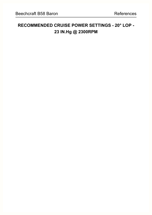# **RECOMMENDED CRUISE POWER SETTINGS - 20° LOP - 23 IN.Hg @ 2300RPM**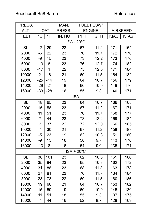# Beechcraft B58 Baron References

| PRESS.            |                |             | MAN.   |                     | <b>FUEL FLOW/</b> |                 |             |  |  |
|-------------------|----------------|-------------|--------|---------------------|-------------------|-----------------|-------------|--|--|
| ALT.              |                | <b>IOAT</b> | PRESS. |                     | <b>ENGINE</b>     | <b>AIRSPEED</b> |             |  |  |
| <b>FEET</b>       | $^{\circ}C$    | $\circ$ F   | IN. HG | <b>PPH</b>          | <b>GPH</b>        | <b>KIAS</b>     | <b>KTAS</b> |  |  |
| <b>ISA - 20°C</b> |                |             |        |                     |                   |                 |             |  |  |
| <b>SL</b>         | $-2$           | 29          | 23     | 67                  | 11.2              | 171             | 164         |  |  |
| 2000              | $-6$           | 22          | 23     | 70                  | 11.7              | 172             | 170         |  |  |
| 4000              | -9             | 15          | 23     | 73                  | 12.2              | 173             | 176         |  |  |
| 6000              | $-13$          | 8           | 23     | 76                  | 12.7              | 174             | 182         |  |  |
| 8000              | $-17$          | 1           | 22     | 75                  | 12.5              | 171             | 184         |  |  |
| 10000             | $-21$          | $-6$        | 21     | 69                  | 11.5              | 164             | 182         |  |  |
| 12000             | $-25$          | $-14$       | 19     | 64                  | 10.7              | 156             | 179         |  |  |
| 14000             | $-29$          | $-21$       | 18     | 60                  | 10.0              | 149             | 176         |  |  |
| 16000             | $-33$          | $-28$       | 16     | 55                  | 9.3               | 140             | 171         |  |  |
|                   | <b>ISA</b>     |             |        |                     |                   |                 |             |  |  |
| <b>SL</b>         | 18             | 65          | 23     | 64                  | 10.7              | 166             | 165         |  |  |
| 2000              | 15             | 58          | 23     | 67                  | 11.2              | 167             | 171         |  |  |
| 4000              | 11             | 51          | 23     | 70                  | 11.7              | 168             | 177         |  |  |
| 6000              | 7              | 44          | 23     | 73                  | 12.2              | 169             | 184         |  |  |
| 8000              | 3              | 37          | 22     | 72                  | 12.0              | 166             | 185         |  |  |
| 10000             | $-1$           | 30          | 21     | 67                  | 11.2              | 158             | 183         |  |  |
| 12000             | $-5$           | 23          | 19     | 62                  | 10.3              | 151             | 180         |  |  |
| 14000             | -9             | 15          | 18     | 58                  | 9.7               | 143             | 176         |  |  |
| 16000             | $-13$          | 8           | 16     | 54                  | 9.0               | 135             | 171         |  |  |
|                   |                |             |        | $ISA + 20^{\circ}C$ |                   |                 |             |  |  |
| <b>SL</b>         | 38             | 101         | 23     | 62                  | 10.3              | 161             | 166         |  |  |
| 2000              | 35             | 94          | 23     | 65                  | 10.8              | 162             | 172         |  |  |
| 4000              | 31             | 88          | 23     | 68                  | 11.3              | 163             | 178         |  |  |
| 6000              | 27             | 81          | 23     | 70                  | 11.7              | 164             | 184         |  |  |
| 8000              | 23             | 73          | 22     | 69                  | 11.5              | 160             | 186         |  |  |
| 10000             | 19             | 66          | 21     | 64                  | 10.7              | 153             | 182         |  |  |
| 12000             | 15             | 59          | 19     | 60                  | 10.0              | 145             | 180         |  |  |
| 14000             | 11             | 51          | 18     | 55                  | 9.3               | 137             | 175         |  |  |
| 16000             | $\overline{7}$ | 44          | 16     | 52                  | 8.7               | 128             | 169         |  |  |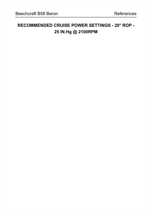# **RECOMMENDED CRUISE POWER SETTINGS - 20° ROP - 25 IN.Hg @ 2100RPM**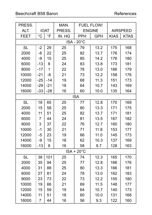# Beechcraft B58 Baron References

| PRESS.            |                |             | MAN.   |                     | <b>FUEL FLOW/</b> |                 |             |  |  |  |
|-------------------|----------------|-------------|--------|---------------------|-------------------|-----------------|-------------|--|--|--|
| ALT.              |                | <b>IOAT</b> | PRESS. |                     | <b>ENGINE</b>     | <b>AIRSPEED</b> |             |  |  |  |
| <b>FEET</b>       | $^{\circ}C$    | $\circ$ F   | IN. HG | <b>PPH</b>          | <b>GPH</b>        | <b>KIAS</b>     | <b>KTAS</b> |  |  |  |
| <b>ISA - 20°C</b> |                |             |        |                     |                   |                 |             |  |  |  |
| <b>SL</b>         | $-2$           | 29          | 25     | 79                  | 13.2              | 175             | 168         |  |  |  |
| 2000              | $-6$           | 22          | 25     | 82                  | 13.7              | 176             | 174         |  |  |  |
| 4000              | -9             | 15          | 25     | 85                  | 14.2              | 176             | 180         |  |  |  |
| 6000              | $-13$          | 8           | 24     | 83                  | 13.8              | 173             | 181         |  |  |  |
| 8000              | $-17$          | 1           | 22     | 78                  | 13.0              | 166             | 179         |  |  |  |
| 10000             | $-21$          | $-6$        | 21     | 73                  | 12.2              | 158             | 176         |  |  |  |
| 12000             | $-25$          | $-14$       | 19     | 68                  | 11.3              | 151             | 173         |  |  |  |
| 14000             | $-29$          | $-21$       | 18     | 64                  | 10.7              | 143             | 169         |  |  |  |
| 16000             | $-33$          | $-28$       | 16     | 60                  | 10.0              | 135             | 164         |  |  |  |
|                   |                |             |        | <b>ISA</b>          |                   |                 |             |  |  |  |
| <b>SL</b>         | 18             | 65          | 25     | 77                  | 12.8              | 170             | 169         |  |  |  |
| 2000              | 15             | 58          | 25     | 80                  | 13.3              | 171             | 175         |  |  |  |
| 4000              | 11             | 51          | 25     | 82                  | 13.7              | 171             | 181         |  |  |  |
| 6000              | 7              | 44          | 24     | 81                  | 13.5              | 167             | 182         |  |  |  |
| 8000              | 3              | 37          | 22     | 76                  | 12.7              | 160             | 180         |  |  |  |
| 10000             | $-1$           | 30          | 21     | 71                  | 11.8              | 153             | 177         |  |  |  |
| 12000             | $-5$           | 23          | 19     | 66                  | 11.0              | 145             | 173         |  |  |  |
| 14000             | -9             | 15          | 18     | 62                  | 10.3              | 137             | 169         |  |  |  |
| 16000             | $-13$          | 8           | 16     | 58                  | 9.7               | 128             | 163         |  |  |  |
|                   |                |             |        | $ISA + 20^{\circ}C$ |                   |                 |             |  |  |  |
| <b>SL</b>         | 38             | 101         | 25     | 74                  | 12.3              | 165             | 170         |  |  |  |
| 2000              | 35             | 94          | 25     | 77                  | 12.8              | 166             | 176         |  |  |  |
| 4000              | 31             | 88          | 25     | 80                  | 13.3              | 166             | 181         |  |  |  |
| 6000              | 27             | 81          | 24     | 78                  | 13.0              | 162             | 183         |  |  |  |
| 8000              | 23             | 73          | 22     | 73                  | 12.2              | 155             | 180         |  |  |  |
| 10000             | 19             | 66          | 21     | 69                  | 11.5              | 148             | 177         |  |  |  |
| 12000             | 15             | 59          | 19     | 64                  | 10.7              | 140             | 173         |  |  |  |
| 14000             | 11             | 51          | 18     | 60                  | 10.0              | 131             | 168         |  |  |  |
| 16000             | $\overline{7}$ | 44          | 16     | 56                  | 9.3               | 122             | 160         |  |  |  |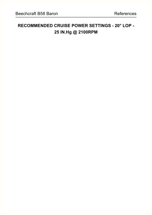# **RECOMMENDED CRUISE POWER SETTINGS - 20° LOP - 25 IN.Hg @ 2100RPM**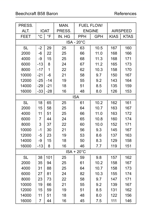| PRESS.            |                |                | MAN.   |                     | <b>FUEL FLOW/</b> |             |                 |  |  |  |
|-------------------|----------------|----------------|--------|---------------------|-------------------|-------------|-----------------|--|--|--|
| ALT.              |                | <b>IOAT</b>    | PRESS. |                     | <b>ENGINE</b>     |             | <b>AIRSPEED</b> |  |  |  |
| <b>FEET</b>       | $^{\circ}C$    | $\circ$ F      | IN. HG | <b>PPH</b>          | <b>GPH</b>        | <b>KIAS</b> | <b>KTAS</b>     |  |  |  |
| <b>ISA - 20°C</b> |                |                |        |                     |                   |             |                 |  |  |  |
| <b>SL</b>         | $-2$           | 29             | 25     | 63                  | 10.5              | 167         | 160             |  |  |  |
| 2000              | $-6$           | 22             | 25     | 66                  | 11.0              | 168         | 166             |  |  |  |
| 4000              | -9             | 15             | 25     | 68                  | 11.3              | 168         | 171             |  |  |  |
| 6000              | $-13$          | 8              | 24     | 67                  | 11.2              | 165         | 173             |  |  |  |
| 8000              | $-17$          | $\overline{1}$ | 22     | 62                  | 10.3              | 158         | 170             |  |  |  |
| 10000             | $-21$          | $-6$           | 21     | 58                  | 9.7               | 150         | 167             |  |  |  |
| 12000             | $-25$          | $-14$          | 19     | 55                  | 9.2               | 143         | 164             |  |  |  |
| 14000             | $-29$          | $-21$          | 18     | 51                  | 8.5               | 135         | 159             |  |  |  |
| 16000             | $-33$          | $-28$          | 16     | 48                  | 8.0               | 126         | 153             |  |  |  |
|                   |                |                |        | <b>ISA</b>          |                   |             |                 |  |  |  |
| <b>SL</b>         | 18             | 65             | 25     | 61                  | 10.2              | 162         | 161             |  |  |  |
| 2000              | 15             | 58             | 25     | 64                  | 10.7              | 163         | 167             |  |  |  |
| 4000              | 11             | 51             | 25     | 66                  | 11.0              | 163         | 172             |  |  |  |
| 6000              | 7              | 44             | 24     | 65                  | 10.8              | 160         | 174             |  |  |  |
| 8000              | 3              | 37             | 22     | 60                  | 10.0              | 152         | 171             |  |  |  |
| 10000             | $-1$           | 30             | 21     | 56                  | 9.3               | 145         | 167             |  |  |  |
| 12000             | $-5$           | 23             | 19     | 53                  | 8.6               | 137         | 163             |  |  |  |
| 14000             | -9             | 15             | 18     | 50                  | 8.3               | 129         | 158             |  |  |  |
| 16000             | $-13$          | 8              | 16     | 46                  | 7.7               | 119         | 151             |  |  |  |
|                   |                |                |        | $ISA + 20^{\circ}C$ |                   |             |                 |  |  |  |
| <b>SL</b>         | 38             | 101            | 25     | 59                  | 9.8               | 157         | 162             |  |  |  |
| 2000              | 35             | 94             | 25     | 61                  | 10.2              | 158         | 167             |  |  |  |
| 4000              | 31             | 88             | 25     | 64                  | 10.7              | 158         | 173             |  |  |  |
| 6000              | 27             | 81             | 24     | 82                  | 10.3              | 155         | 174             |  |  |  |
| 8000              | 23             | 73             | 22     | 58                  | 9.7               | 147         | 171             |  |  |  |
| 10000             | 19             | 66             | 21     | 55                  | 9.2               | 139         | 167             |  |  |  |
| 12000             | 15             | 59             | 19     | 51                  | 8.5               | 131         | 162             |  |  |  |
| 14000             | 11             | 51             | 18     | 48                  | 8.0               | 122         | 156             |  |  |  |
| 16000             | $\overline{7}$ | 44             | 16     | 45                  | 7.5               | 111         | 146             |  |  |  |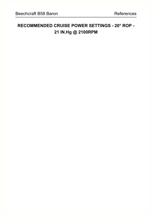# **RECOMMENDED CRUISE POWER SETTINGS - 20° ROP - 21 IN.Hg @ 2100RPM**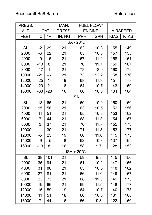| PRESS.            |                |             | MAN.   |                     | <b>FUEL FLOW/</b> |                 |             |  |  |  |
|-------------------|----------------|-------------|--------|---------------------|-------------------|-----------------|-------------|--|--|--|
| ALT.              |                | <b>IOAT</b> | PRESS. |                     | <b>ENGINE</b>     | <b>AIRSPEED</b> |             |  |  |  |
| <b>FEET</b>       | $\overline{C}$ | $\circ$ F   | IN. HG | PPH                 | <b>GPH</b>        | <b>KIAS</b>     | <b>KTAS</b> |  |  |  |
| <b>ISA - 20°C</b> |                |             |        |                     |                   |                 |             |  |  |  |
| <b>SL</b>         | $-2$           | 29          | 21     | 62                  | 10.3              | 155             | 149         |  |  |  |
| 2000              | $-6$           | 22          | 21     | 65                  | 10.8              | 157             | 155         |  |  |  |
| 4000              | -9             | 15          | 21     | 67                  | 11.2              | 158             | 161         |  |  |  |
| 6000              | $-13$          | 8           | 21     | 70                  | 11.7              | 159             | 167         |  |  |  |
| 8000              | $-17$          | $\mathbf 1$ | 21     | 72                  | 12.0              | 160             | 172         |  |  |  |
| 10000             | $-21$          | $-6$        | 21     | 73                  | 12.2              | 158             | 176         |  |  |  |
| 12000             | $-25$          | $-14$       | 19     | 68                  | 11.3              | 151             | 173         |  |  |  |
| 14000             | $-29$          | $-21$       | 18     | 64                  | 10.7              | 143             | 169         |  |  |  |
| 16000             | $-33$          | $-28$       | 16     | 60                  | 10.0              | 134             | 164         |  |  |  |
|                   |                |             |        | <b>ISA</b>          |                   |                 |             |  |  |  |
| <b>SL</b>         | 18             | 65          | 21     | 60                  | 10.0              | 150             | 150         |  |  |  |
| 2000              | 15             | 58          | 21     | 63                  | 10.5              | 152             | 156         |  |  |  |
| 4000              | 11             | 51          | 21     | 65                  | 10.8              | 153             | 162         |  |  |  |
| 6000              | 7              | 44          | 21     | 68                  | 11.3              | 154             | 167         |  |  |  |
| 8000              | 3              | 37          | 21     | 70                  | 11.7              | 155             | 173         |  |  |  |
| 10000             | $-1$           | 30          | 21     | 71                  | 11.8              | 153             | 177         |  |  |  |
| 12000             | $-5$           | 23          | 19     | 66                  | 11.0              | 145             | 173         |  |  |  |
| 14000             | -9             | 15          | 18     | 62                  | 10.3              | 137             | 169         |  |  |  |
| 16000             | $-13$          | 8           | 16     | 58                  | 9.7               | 128             | 153         |  |  |  |
|                   |                |             |        | $ISA + 20^{\circ}C$ |                   |                 |             |  |  |  |
| <b>SL</b>         | 38             | 101         | 21     | 59                  | 9.8               | 145             | 150         |  |  |  |
| 2000              | 35             | 94          | 21     | 61                  | 10.2              | 147             | 156         |  |  |  |
| 4000              | 31             | 88          | 21     | 63                  | 10.5              | 148             | 162         |  |  |  |
| 6000              | 27             | 81          | 21     | 66                  | 11.0              | 149             | 167         |  |  |  |
| 8000              | 23             | 73          | 21     | 68                  | 11.3              | 149             | 173         |  |  |  |
| 10000             | 19             | 66          | 21     | 69                  | 11.5              | 148             | 177         |  |  |  |
| 12000             | 15             | 59          | 19     | 64                  | 10.7              | 140             | 173         |  |  |  |
| 14000             | 11             | 51          | 18     | 60                  | 10.0              | 131             | 168         |  |  |  |
| 16000             | $\overline{7}$ | 44          | 16     | 56                  | 9.3               | 122             | 160         |  |  |  |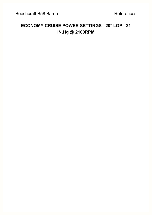# **ECONOMY CRUISE POWER SETTINGS - 20° LOP - 21 IN.Hg @ 2100RPM**